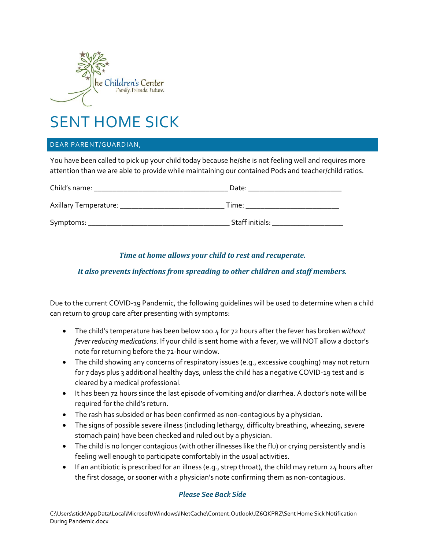

# SENT HOME SICK

#### DEAR PARENT/GUARDIAN,

You have been called to pick up your child today because he/she is not feeling well and requires more attention than we are able to provide while maintaining our contained Pods and teacher/child ratios.

| Child's name:         | Date:           |  |
|-----------------------|-----------------|--|
| Axillary Temperature: | Time:           |  |
| Symptoms:             | Staff initials: |  |

## *Time at home allows your child to rest and recuperate.*

## *It also prevents infections from spreading to other children and staff members.*

Due to the current COVID-19 Pandemic, the following guidelines will be used to determine when a child can return to group care after presenting with symptoms:

- The child's temperature has been below 100.4 for 72 hours after the fever has broken *without fever reducing medications*. If your child is sent home with a fever, we will NOT allow a doctor's note for returning before the 72-hour window.
- The child showing any concerns of respiratory issues (e.g., excessive coughing) may not return for 7 days plus 3 additional healthy days, unless the child has a negative COVID-19 test and is cleared by a medical professional.
- It has been 72 hours since the last episode of vomiting and/or diarrhea. A doctor's note will be required for the child's return.
- The rash has subsided or has been confirmed as non-contagious by a physician.
- The signs of possible severe illness (including lethargy, difficulty breathing, wheezing, severe stomach pain) have been checked and ruled out by a physician.
- The child is no longer contagious (with other illnesses like the flu) or crying persistently and is feeling well enough to participate comfortably in the usual activities.
- $\bullet$  If an antibiotic is prescribed for an illness (e.g., strep throat), the child may return 24 hours after the first dosage, or sooner with a physician's note confirming them as non-contagious.

#### *Please See Back Side*